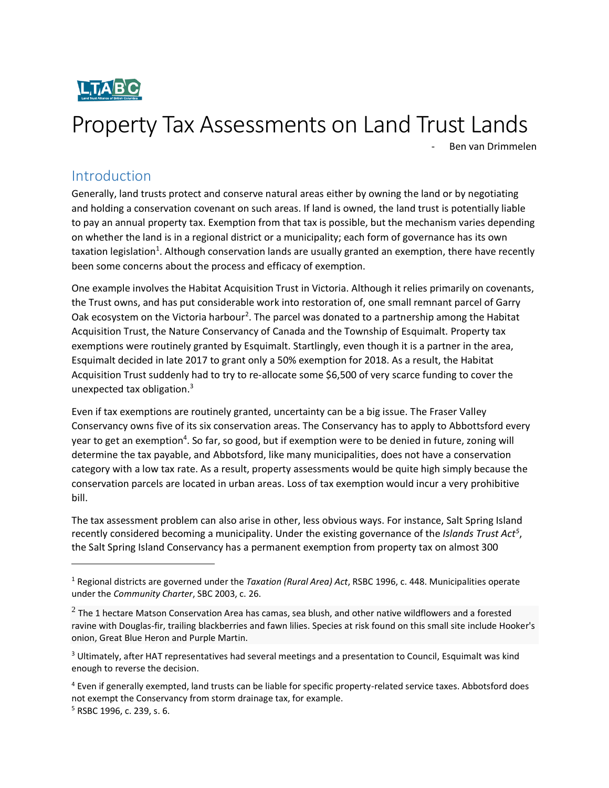

# Property Tax Assessments on Land Trust Lands

- Ben van Drimmelen

### Introduction

 $\overline{a}$ 

Generally, land trusts protect and conserve natural areas either by owning the land or by negotiating and holding a conservation covenant on such areas. If land is owned, the land trust is potentially liable to pay an annual property tax. Exemption from that tax is possible, but the mechanism varies depending on whether the land is in a regional district or a municipality; each form of governance has its own taxation legislation<sup>1</sup>. Although conservation lands are usually granted an exemption, there have recently been some concerns about the process and efficacy of exemption.

One example involves the Habitat Acquisition Trust in Victoria. Although it relies primarily on covenants, the Trust owns, and has put considerable work into restoration of, one small remnant parcel of Garry Oak ecosystem on the Victoria harbour<sup>2</sup>. The parcel was donated to a partnership among the Habitat Acquisition Trust, the Nature Conservancy of Canada and the Township of Esquimalt. Property tax exemptions were routinely granted by Esquimalt. Startlingly, even though it is a partner in the area, Esquimalt decided in late 2017 to grant only a 50% exemption for 2018. As a result, the Habitat Acquisition Trust suddenly had to try to re-allocate some \$6,500 of very scarce funding to cover the unexpected tax obligation.<sup>3</sup>

Even if tax exemptions are routinely granted, uncertainty can be a big issue. The Fraser Valley Conservancy owns five of its six conservation areas. The Conservancy has to apply to Abbottsford every year to get an exemption<sup>4</sup>. So far, so good, but if exemption were to be denied in future, zoning will determine the tax payable, and Abbotsford, like many municipalities, does not have a conservation category with a low tax rate. As a result, property assessments would be quite high simply because the conservation parcels are located in urban areas. Loss of tax exemption would incur a very prohibitive bill.

The tax assessment problem can also arise in other, less obvious ways. For instance, Salt Spring Island recently considered becoming a municipality. Under the existing governance of the *Islands Trust Act<sup>5</sup>* , the Salt Spring Island Conservancy has a permanent exemption from property tax on almost 300

<sup>1</sup> Regional districts are governed under the *Taxation (Rural Area) Act*, RSBC 1996, c. 448. Municipalities operate under the *Community Charter*, SBC 2003, c. 26.

 $^2$  The 1 hectare Matson Conservation Area has camas, sea blush, and other native wildflowers and a forested ravine with Douglas-fir, trailing blackberries and fawn lilies. Species at risk found on this small site include Hooker's onion, Great Blue Heron and Purple Martin.

<sup>&</sup>lt;sup>3</sup> Ultimately, after HAT representatives had several meetings and a presentation to Council, Esquimalt was kind enough to reverse the decision.

<sup>&</sup>lt;sup>4</sup> Even if generally exempted, land trusts can be liable for specific property-related service taxes. Abbotsford does not exempt the Conservancy from storm drainage tax, for example. <sup>5</sup> RSBC 1996, c. 239, s. 6.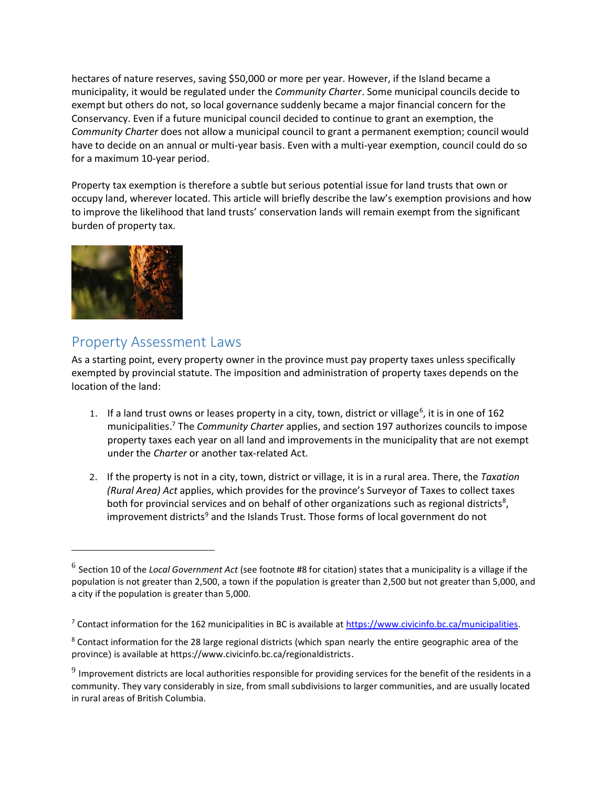hectares of nature reserves, saving \$50,000 or more per year. However, if the Island became a municipality, it would be regulated under the *Community Charter*. Some municipal councils decide to exempt but others do not, so local governance suddenly became a major financial concern for the Conservancy. Even if a future municipal council decided to continue to grant an exemption, the *Community Charter* does not allow a municipal council to grant a permanent exemption; council would have to decide on an annual or multi-year basis. Even with a multi-year exemption, council could do so for a maximum 10-year period.

Property tax exemption is therefore a subtle but serious potential issue for land trusts that own or occupy land, wherever located. This article will briefly describe the law's exemption provisions and how to improve the likelihood that land trusts' conservation lands will remain exempt from the significant burden of property tax.



 $\overline{a}$ 

#### Property Assessment Laws

As a starting point, every property owner in the province must pay property taxes unless specifically exempted by provincial statute. The imposition and administration of property taxes depends on the location of the land:

- 1. If a land trust owns or leases property in a city, town, district or village<sup>6</sup>, it is in one of 162 municipalities. <sup>7</sup> The *Community Charter* applies, and section 197 authorizes councils to impose property taxes each year on all land and improvements in the municipality that are not exempt under the *Charter* or another tax-related Act.
- 2. If the property is not in a city, town, district or village, it is in a rural area. There, the *[Taxation](http://www.qp.gov.bc.ca/statreg/stat/T/96448_01.htm)  [\(Rural Area\)](http://www.qp.gov.bc.ca/statreg/stat/T/96448_01.htm) Act* applies, which provides for the province's Surveyor of Taxes to collect taxes both for provincial services and on behalf of other organizations such as regional districts<sup>8</sup>, improvement districts<sup>9</sup> and the Islands Trust. Those forms of local government do not

<sup>6</sup> Section 10 of the *Local Government Act* (see footnote #8 for citation) states that a municipality is a village if the population is not greater than 2,500, a town if the population is greater than 2,500 but not greater than 5,000, and a city if the population is greater than 5,000.

<sup>&</sup>lt;sup>7</sup> Contact information for the 162 municipalities in BC is available at [https://www.civicinfo.bc.ca/municipalities.](https://www.civicinfo.bc.ca/municipalities)

<sup>&</sup>lt;sup>8</sup> Contact information for the 28 large regional districts (which span nearly the entire geographic area of the province) is available at https://www.civicinfo.bc.ca/regionaldistricts.

 $^9$  Improvement districts are local authorities responsible for providing services for the benefit of the residents in a community. They vary considerably in size, from small subdivisions to larger communities, and are usually located in rural areas of British Columbia.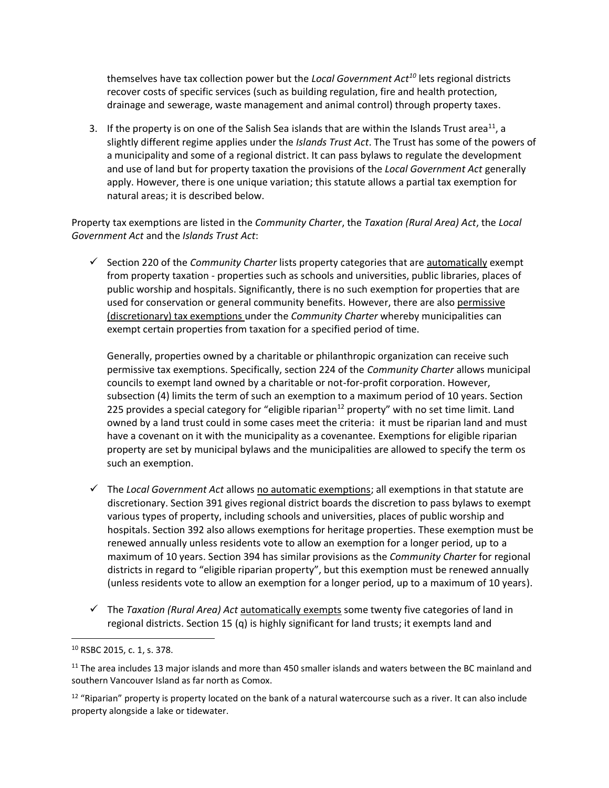themselves have tax collection power but the *[Local Government Act](http://www.qp.gov.bc.ca/statreg/stat/L/96323_24.htm#part24_division4.2)<sup>10</sup>* lets regional districts recover costs of specific services (such as building regulation, fire and health protection, drainage and sewerage, waste management and animal control) through property taxes.

3. If the property is on one of the Salish Sea islands that are within the Islands Trust area<sup>11</sup>, a slightly different regime applies under the *Islands Trust Act*. The Trust has some of the powers of a municipality and some of a regional district. It can pass bylaws to regulate the development and use of land but for property taxation the provisions of the *Local Government Act* generally apply. However, there is one unique variation; this statute allows a partial tax exemption for natural areas; it is described below.

Property tax exemptions are listed in the *[Community Charter](http://www.qp.gov.bc.ca/statreg/stat/C/03026_00.htm)*, the *[Taxation \(Rural Area\) Act](http://www.qp.gov.bc.ca/statreg/stat/T/96448_01.htm)*, the *[Local](http://www.qp.gov.bc.ca/statreg/stat/L/96323_24.htm#part24_division4.2)  [Government Act](http://www.qp.gov.bc.ca/statreg/stat/L/96323_24.htm#part24_division4.2)* and the *Islands Trust Act*:

 Section 220 of the *Community Charter* lists property categories that are automatically exempt from property taxation - properties such as schools and universities, public libraries, places of public worship and hospitals. Significantly, there is no such exemption for properties that are used for conservation or general community benefits. However, there are also permissive (discretionary) tax exemptions under the *Community Charter* whereby municipalities can exempt certain properties from taxation for a specified period of time.

Generally, properties owned by a charitable or philanthropic organization can receive such permissive tax exemptions. Specifically, section 224 of the *Community Charter* allows municipal councils to exempt land owned by a charitable or not-for-profit corporation. However, subsection (4) limits the term of such an exemption to a maximum period of 10 years. Section 225 provides a special category for "eligible riparian $^{12}$  property" with no set time limit. Land owned by a land trust could in some cases meet the criteria: it must be riparian land and must have a covenant on it with the municipality as a covenantee. Exemptions for eligible riparian property are set by municipal bylaws and the municipalities are allowed to specify the term os such an exemption.

- The *[Local Government Act](http://www.qp.gov.bc.ca/statreg/stat/L/96323_24.htm#part24_division4.2)* allows no automatic exemptions; all exemptions in that statute are discretionary. Section 391 gives regional district boards the discretion to pass bylaws to exempt various types of property, including schools and universities, places of public worship and hospitals. Section 392 also allows exemptions for heritage properties. These exemption must be renewed annually unless residents vote to allow an exemption for a longer period, up to a maximum of 10 years. Section 394 has similar provisions as the *Community Charter* for regional districts in regard to "eligible riparian property", but this exemption must be renewed annually (unless residents vote to allow an exemption for a longer period, up to a maximum of 10 years).
- $\checkmark$  The *Taxation (Rural Area) Act* automatically exempts some twenty five categories of land in regional districts. Section 15 (q) is highly significant for land trusts; it exempts land and

l

<sup>10</sup> RSBC 2015, c. 1, s. 378.

 $11$  The area includes 13 major islands and more than 450 smaller islands and waters between the BC mainland and southern Vancouver Island as far north as Comox.

<sup>&</sup>lt;sup>12</sup> "Riparian" property is property located on the bank of a natural watercourse such as a river. It can also include property alongside a lake or tidewater.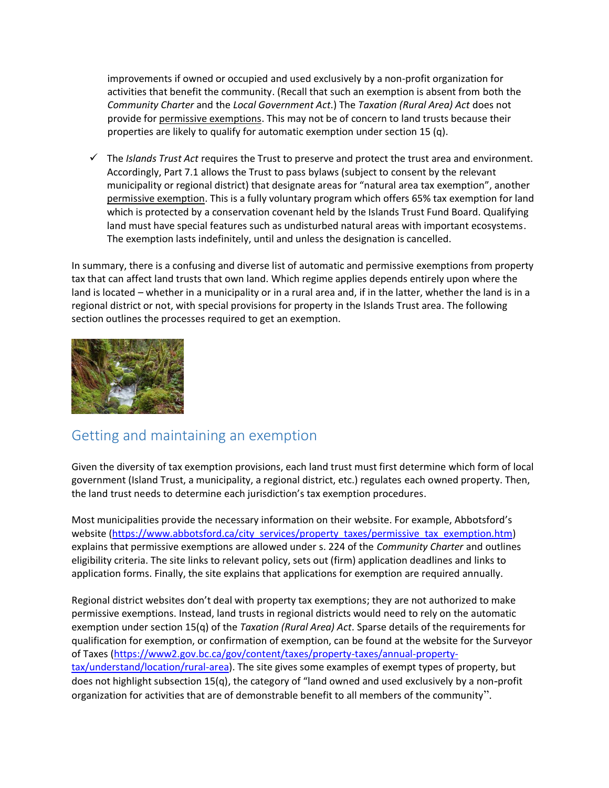improvements if owned or occupied and used exclusively by a non-profit organization for activities that benefit the community. (Recall that such an exemption is absent from both the *Community Charter* and the *Local Government Act*.) The *Taxation (Rural Area) Act* does not provide for permissive exemptions. This may not be of concern to land trusts because their properties are likely to qualify for automatic exemption under section 15 (q).

 The *Islands Trust Act* requires the Trust to preserve and protect the trust area and environment. Accordingly, Part 7.1 allows the Trust to pass bylaws (subject to consent by the relevant municipality or regional district) that designate areas for "natural area tax exemption", another permissive exemption. This is a fully voluntary program which offers 65% tax exemption for land which is protected by a conservation covenant held by the Islands Trust Fund Board. Qualifying land must have special features such as undisturbed natural areas with important ecosystems. The exemption lasts indefinitely, until and unless the designation is cancelled.

In summary, there is a confusing and diverse list of automatic and permissive exemptions from property tax that can affect land trusts that own land. Which regime applies depends entirely upon where the land is located – whether in a municipality or in a rural area and, if in the latter, whether the land is in a regional district or not, with special provisions for property in the Islands Trust area. The following section outlines the processes required to get an exemption.



## Getting and maintaining an exemption

Given the diversity of tax exemption provisions, each land trust must first determine which form of local government (Island Trust, a municipality, a regional district, etc.) regulates each owned property. Then, the land trust needs to determine each jurisdiction's tax exemption procedures.

Most municipalities provide the necessary information on their website. For example, Abbotsford's website [\(https://www.abbotsford.ca/city\\_services/property\\_taxes/permissive\\_tax\\_exemption.htm\)](https://www.abbotsford.ca/city_services/property_taxes/permissive_tax_exemption.htm) explains that permissive exemptions are allowed under s. 224 of the *Community Charter* and outlines eligibility criteria. The site links to relevant policy, sets out (firm) application deadlines and links to application forms. Finally, the site explains that applications for exemption are required annually.

Regional district websites don't deal with property tax exemptions; they are not authorized to make permissive exemptions. Instead, land trusts in regional districts would need to rely on the automatic exemption under section 15(q) of the *Taxation (Rural Area) Act*. Sparse details of the requirements for qualification for exemption, or confirmation of exemption, can be found at the website for the Surveyor of Taxes [\(https://www2.gov.bc.ca/gov/content/taxes/property-taxes/annual-property](https://www2.gov.bc.ca/gov/content/taxes/property-taxes/annual-property-tax/understand/location/rural-area)[tax/understand/location/rural-area\)](https://www2.gov.bc.ca/gov/content/taxes/property-taxes/annual-property-tax/understand/location/rural-area). The site gives some examples of exempt types of property, but does not highlight subsection 15(q), the category of "land owned and used exclusively by a non-profit organization for activities that are of demonstrable benefit to all members of the community".